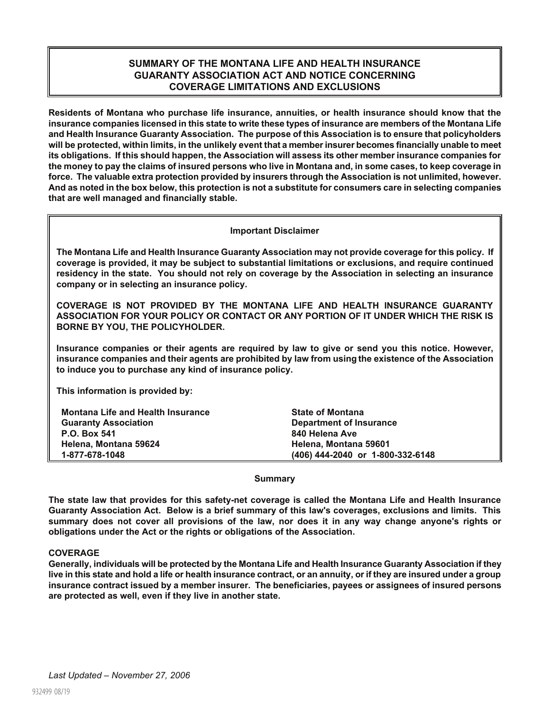# **SUMMARY OF THE MONTANA LIFE AND HEALTH INSURANCE GUARANTY ASSOCIATION ACT AND NOTICE CONCERNING COVERAGE LIMITATIONS AND EXCLUSIONS**

**Residents of Montana who purchase life insurance, annuities, or health insurance should know that the insurance companies licensed in this state to write these types of insurance are members of the Montana Life and Health Insurance Guaranty Association. The purpose of this Association is to ensure that policyholders will be protected, within limits, in the unlikely event that a member insurer becomes financially unable to meet its obligations. If this should happen, the Association will assess its other member insurance companies for the money to pay the claims of insured persons who live in Montana and, in some cases, to keep coverage in force. The valuable extra protection provided by insurers through the Association is not unlimited, however. And as noted in the box below, this protection is not a substitute for consumers care in selecting companies that are well managed and financially stable.**

# **Important Disclaimer**

**The Montana Life and Health Insurance Guaranty Association may not provide coverage for this policy. If coverage is provided, it may be subject to substantial limitations or exclusions, and require continued residency in the state. You should not rely on coverage by the Association in selecting an insurance company or in selecting an insurance policy.**

**COVERAGE IS NOT PROVIDED BY THE MONTANA LIFE AND HEALTH INSURANCE GUARANTY ASSOCIATION FOR YOUR POLICY OR CONTACT OR ANY PORTION OF IT UNDER WHICH THE RISK IS BORNE BY YOU, THE POLICYHOLDER.**

**Insurance companies or their agents are required by law to give or send you this notice. However, insurance companies and their agents are prohibited by law from using the existence of the Association to induce you to purchase any kind of insurance policy.**

**This information is provided by:**

| <b>Montana Life and Health Insurance</b> | <b>State of Montana</b>          |
|------------------------------------------|----------------------------------|
| <b>Guaranty Association</b>              | Department of Insurance          |
| P.O. Box 541                             | 840 Helena Ave                   |
| Helena, Montana 59624                    | Helena, Montana 59601            |
| 1-877-678-1048                           | (406) 444-2040 or 1-800-332-6148 |

#### **Summary**

**The state law that provides for this safety-net coverage is called the Montana Life and Health Insurance Guaranty Association Act. Below is a brief summary of this law's coverages, exclusions and limits. This summary does not cover all provisions of the law, nor does it in any way change anyone's rights or obligations under the Act or the rights or obligations of the Association.**

#### **COVERAGE**

**Generally, individuals will be protected by the Montana Life and Health Insurance Guaranty Association if they live in this state and hold a life or health insurance contract, or an annuity, or if they are insured under a group insurance contract issued by a member insurer. The beneficiaries, payees or assignees of insured persons are protected as well, even if they live in another state.**